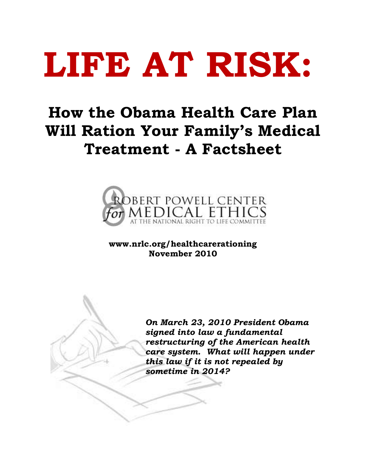# **LIFE AT RISK:**

# **How the Obama Health Care Plan Will Ration Your Family's Medical Treatment - A Factsheet**



**www.nrlc.org/healthcarerationing November 2010** 

*On March 23, 2010 President Obama signed into law a fundamental restructuring of the American health care system. What will happen under this law if it is not repealed by sometime in 2014?*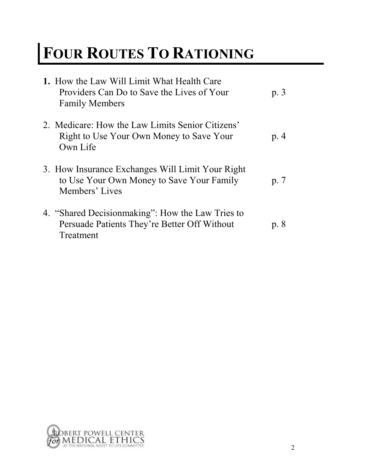# **FOUR ROUTES TO RATIONING**

| 1. How the Law Will Limit What Health Care<br>Providers Can Do to Save the Lives of Your<br><b>Family Members</b> | p.3  |
|-------------------------------------------------------------------------------------------------------------------|------|
| 2. Medicare: How the Law Limits Senior Citizens'<br>Right to Use Your Own Money to Save Your<br>Own Life          | p.4  |
| 3. How Insurance Exchanges Will Limit Your Right<br>to Use Your Own Money to Save Your Family<br>Members' Lives   | p. 7 |
| 4. "Shared Decisionmaking": How the Law Tries to<br>Persuade Patients They're Better Off Without<br>Treatment     | p. 8 |

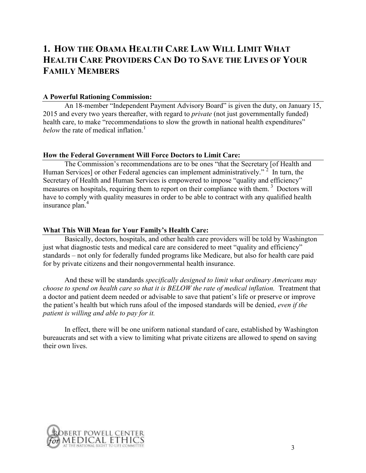# **1. HOW THE OBAMA HEALTH CARE LAW WILL LIMIT WHAT HEALTH CARE PROVIDERS CAN DO TO SAVE THE LIVES OF YOUR FAMILY MEMBERS**

#### **A Powerful Rationing Commission:**

An 18-member "Independent Payment Advisory Board" is given the duty, on January 15, 2015 and every two years thereafter, with regard to *private* (not just governmentally funded) health care, to make "recommendations to slow the growth in national health expenditures" *below* the rate of medical inflation.<sup>1</sup>

#### **How the Federal Government Will Force Doctors to Limit Care:**

The Commission's recommendations are to be ones "that the Secretary [of Health and Human Services] or other Federal agencies can implement administratively."<sup>2</sup> In turn, the Secretary of Health and Human Services is empowered to impose "quality and efficiency" measures on hospitals, requiring them to report on their compliance with them.<sup>3</sup> Doctors will have to comply with quality measures in order to be able to contract with any qualified health insurance plan.<sup>4</sup>

#### **What This Will Mean for Your Family's Health Care:**

Basically, doctors, hospitals, and other health care providers will be told by Washington just what diagnostic tests and medical care are considered to meet "quality and efficiency" standards – not only for federally funded programs like Medicare, but also for health care paid for by private citizens and their nongovernmental health insurance.

 And these will be standards *specifically designed to limit what ordinary Americans may choose to spend on health care so that it is BELOW the rate of medical inflation.* Treatment that a doctor and patient deem needed or advisable to save that patient's life or preserve or improve the patient's health but which runs afoul of the imposed standards will be denied, *even if the patient is willing and able to pay for it.* 

 In effect, there will be one uniform national standard of care, established by Washington bureaucrats and set with a view to limiting what private citizens are allowed to spend on saving their own lives.

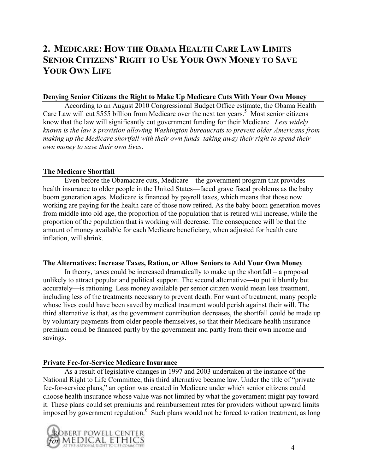# **2. MEDICARE: HOW THE OBAMA HEALTH CARE LAW LIMITS SENIOR CITIZENS' RIGHT TO USE YOUR OWN MONEY TO SAVE YOUR OWN LIFE**

#### **Denying Senior Citizens the Right to Make Up Medicare Cuts With Your Own Money**

According to an August 2010 Congressional Budget Office estimate, the Obama Health Care Law will cut \$555 billion from Medicare over the next ten years.<sup>5</sup> Most senior citizens know that the law will significantly cut government funding for their Medicare*. Less widely known is the law's provision allowing Washington bureaucrats to prevent older Americans from making up the Medicare shortfall with their own funds–taking away their right to spend their own money to save their own lives*.

#### **The Medicare Shortfall**

Even before the Obamacare cuts, Medicare—the government program that provides health insurance to older people in the United States—faced grave fiscal problems as the baby boom generation ages. Medicare is financed by payroll taxes, which means that those now working are paying for the health care of those now retired. As the baby boom generation moves from middle into old age, the proportion of the population that is retired will increase, while the proportion of the population that is working will decrease. The consequence will be that the amount of money available for each Medicare beneficiary, when adjusted for health care inflation, will shrink.

#### **The Alternatives: Increase Taxes, Ration, or Allow Seniors to Add Your Own Money**

In theory, taxes could be increased dramatically to make up the shortfall – a proposal unlikely to attract popular and political support. The second alternative—to put it bluntly but accurately—is rationing. Less money available per senior citizen would mean less treatment, including less of the treatments necessary to prevent death. For want of treatment, many people whose lives could have been saved by medical treatment would perish against their will. The third alternative is that, as the government contribution decreases, the shortfall could be made up by voluntary payments from older people themselves, so that their Medicare health insurance premium could be financed partly by the government and partly from their own income and savings.

#### **Private Fee-for-Service Medicare Insurance**

As a result of legislative changes in 1997 and 2003 undertaken at the instance of the National Right to Life Committee, this third alternative became law. Under the title of "private" fee-for-service plans," an option was created in Medicare under which senior citizens could choose health insurance whose value was not limited by what the government might pay toward it. These plans could set premiums and reimbursement rates for providers without upward limits imposed by government regulation.<sup>6</sup> Such plans would not be forced to ration treatment, as long

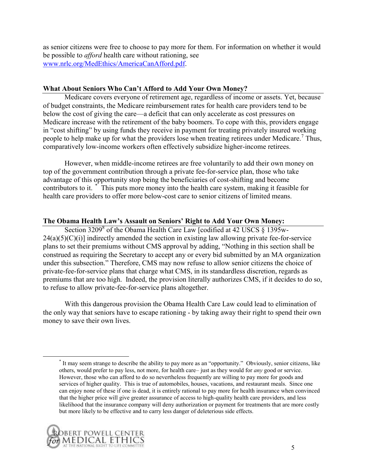as senior citizens were free to choose to pay more for them. For information on whether it would be possible to *afford* health care without rationing, see [www.nrlc.org/MedEthics/AmericaCanAfford.pdf.](http://www.nrlc.org/MedEthics/AmericaCanAfford.pdf)

#### **What About Seniors Who Can't Afford to Add Your Own Money?**

Medicare covers everyone of retirement age, regardless of income or assets. Yet, because of budget constraints, the Medicare reimbursement rates for health care providers tend to be below the cost of giving the care—a deficit that can only accelerate as cost pressures on Medicare increase with the retirement of the baby boomers. To cope with this, providers engage in "cost shifting" by using funds they receive in payment for treating privately insured working people to help make up for what the providers lose when treating retirees under Medicare.<sup>7</sup> Thus, comparatively low-income workers often effectively subsidize higher-income retirees.

However, when middle-income retirees are free voluntarily to add their own money on top of the government contribution through a private fee-for-service plan, those who take advantage of this opportunity stop being the beneficiaries of cost-shifting and become contributors to it. <sup>\*</sup> This puts more money into the health care system, making it feasible for health care providers to offer more below-cost care to senior citizens of limited means.

#### **The Obama Health Law's Assault on Seniors' Right to Add Your Own Money:**

Section 3209<sup>8</sup> of the Obama Health Care Law [codified at 42 USCS § 1395w- $24(a)(5)(C)(i)$  indirectly amended the section in existing law allowing private fee-for-service plans to set their premiums without CMS approval by adding, "Nothing in this section shall be construed as requiring the Secretary to accept any or every bid submitted by an MA organization under this subsection." Therefore, CMS may now refuse to allow senior citizens the choice of private-fee-for-service plans that charge what CMS, in its standardless discretion, regards as premiums that are too high. Indeed, the provision literally authorizes CMS, if it decides to do so, to refuse to allow private-fee-for-service plans altogether.

With this dangerous provision the Obama Health Care Law could lead to elimination of the only way that seniors have to escape rationing - by taking away their right to spend their own money to save their own lives.

<sup>&</sup>lt;sup>\*</sup> It may seem strange to describe the ability to pay more as an "opportunity." Obviously, senior citizens, like others, would prefer to pay less, not more, for health care– just as they would for *any* good or service. However, those who can afford to do so nevertheless frequently are willing to pay more for goods and services of higher quality. This is true of automobiles, houses, vacations, and restaurant meals. Since one can enjoy none of these if one is dead, it is entirely rational to pay more for health insurance when convinced that the higher price will give greater assurance of access to high-quality health care providers, and less likelihood that the insurance company will deny authorization or payment for treatments that are more costly but more likely to be effective and to carry less danger of deleterious side effects.

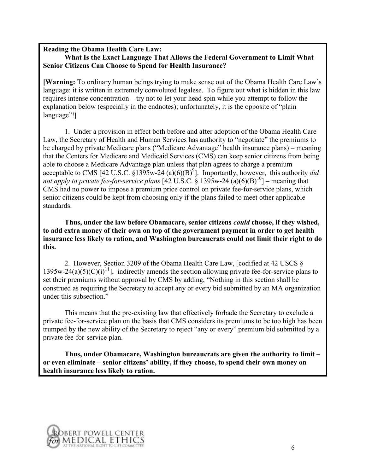#### **Reading the Obama Health Care Law: What Is the Exact Language That Allows the Federal Government to Limit What Senior Citizens Can Choose to Spend for Health Insurance?**

**[Warning:** To ordinary human beings trying to make sense out of the Obama Health Care Law's language: it is written in extremely convoluted legalese. To figure out what is hidden in this law requires intense concentration – try not to let your head spin while you attempt to follow the explanation below (especially in the endnotes); unfortunately, it is the opposite of "plain" language"!]

 1. Under a provision in effect both before and after adoption of the Obama Health Care Law, the Secretary of Health and Human Services has authority to "negotiate" the premiums to be charged by private Medicare plans ("Medicare Advantage" health insurance plans) – meaning that the Centers for Medicare and Medicaid Services (CMS) can keep senior citizens from being able to choose a Medicare Advantage plan unless that plan agrees to charge a premium acceptable to CMS [42 U.S.C.  $\S 1395w-24$  (a)(6)(B)<sup>9</sup>]. Importantly, however, this authority *did not apply to private fee-for-service plans* [42 U.S.C. § 1395w-24 (a)(6)(B)<sup>10</sup>] – meaning that CMS had no power to impose a premium price control on private fee-for-service plans, which senior citizens could be kept from choosing only if the plans failed to meet other applicable standards.

**Thus, under the law before Obamacare, senior citizens** *could* **choose, if they wished, to add extra money of their own on top of the government payment in order to get health insurance less likely to ration, and Washington bureaucrats could not limit their right to do this.**

 2. However, Section 3209 of the Obama Health Care Law, [codified at 42 USCS § 1395w-24(a)(5)(C)(i)<sup>11</sup>], indirectly amends the section allowing private fee-for-service plans to set their premiums without approval by CMS by adding, "Nothing in this section shall be construed as requiring the Secretary to accept any or every bid submitted by an MA organization under this subsection."

This means that the pre-existing law that effectively forbade the Secretary to exclude a private fee-for-service plan on the basis that CMS considers its premiums to be too high has been trumped by the new ability of the Secretary to reject "any or every" premium bid submitted by a private fee-for-service plan.

**Thus, under Obamacare, Washington bureaucrats are given the authority to limit – or even eliminate – senior citizens' ability, if they choose, to spend their own money on health insurance less likely to ration.** 

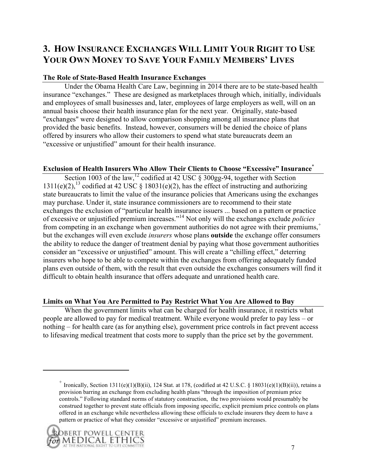# **3. HOW INSURANCE EXCHANGES WILL LIMIT YOUR RIGHT TO USE YOUR OWN MONEY TO SAVE YOUR FAMILY MEMBERS' LIVES**

#### **The Role of State-Based Health Insurance Exchanges**

Under the Obama Health Care Law, beginning in 2014 there are to be state-based health insurance "exchanges." These are designed as marketplaces through which, initially, individuals and employees of small businesses and, later, employees of large employers as well, will on an annual basis choose their health insurance plan for the next year. Originally, state-based "exchanges" were designed to allow comparison shopping among all insurance plans that provided the basic benefits. Instead, however, consumers will be denied the choice of plans offered by insurers who allow their customers to spend what state bureaucrats deem an "excessive or unjustified" amount for their health insurance.

#### **Exclusion of Health Insurers Who Allow Their Clients to Choose "Excessive" Insurance**\*

Section 1003 of the law,  $^{12}$  codified at 42 USC  $\frac{8}{9}$  300gg-94, together with Section 1311(e)(2),<sup>13</sup> codified at 42 USC § 18031(e)(2), has the effect of instructing and authorizing state bureaucrats to limit the value of the insurance policies that Americans using the exchanges may purchase. Under it, state insurance commissioners are to recommend to their state exchanges the exclusion of "particular health insurance issuers ... based on a pattern or practice of excessive or unjustified premium increases.‖<sup>14</sup> Not only will the exchanges exclude *policies* from competing in an exchange when government authorities do not agree with their premiums,<sup>+</sup> but the exchanges will even exclude *insurers* whose plans **outside** the exchange offer consumers the ability to reduce the danger of treatment denial by paying what those government authorities consider an "excessive or unjustified" amount. This will create a "chilling effect," deterring insurers who hope to be able to compete within the exchanges from offering adequately funded plans even outside of them, with the result that even outside the exchanges consumers will find it difficult to obtain health insurance that offers adequate and unrationed health care.

#### **Limits on What You Are Permitted to Pay Restrict What You Are Allowed to Buy**

When the government limits what can be charged for health insurance, it restricts what people are allowed to pay for medical treatment. While everyone would prefer to pay less – or nothing – for health care (as for anything else), government price controls in fact prevent access to lifesaving medical treatment that costs more to supply than the price set by the government.

<sup>&</sup>lt;sup>+</sup> Ironically, Section 1311(e)(1)(B)(ii), 124 Stat. at 178, (codified at 42 U.S.C. § 18031(e)(1)(B)(ii)), retains a provision barring an exchange from excluding health plans "through the imposition of premium price controls.‖ Following standard norms of statutory construction, the two provisions would presumably be construed together to prevent state officials from imposing specific, explicit premium price controls on plans offered in an exchange while nevertheless allowing these officials to exclude insurers they deem to have a pattern or practice of what they consider "excessive or unjustified" premium increases.

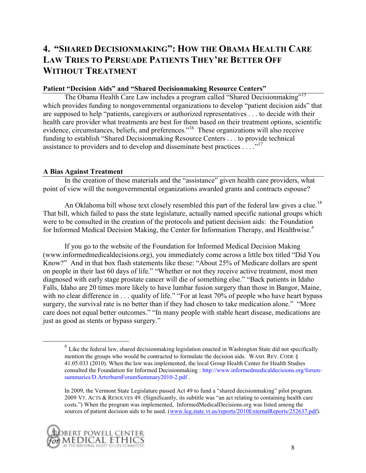# **4. "SHARED DECISIONMAKING": HOW THE OBAMA HEALTH CARE LAW TRIES TO PERSUADE PATIENTS THEY'RE BETTER OFF WITHOUT TREATMENT**

#### **Patient "Decision Aids" and "Shared Decisionmaking Resource Centers"**

The Obama Health Care Law includes a program called "Shared Decisionmaking"<sup>15</sup> which provides funding to nongovernmental organizations to develop "patient decision aids" that are supposed to help "patients, caregivers or authorized representatives . . . to decide with their health care provider what treatments are best for them based on their treatment options, scientific evidence, circumstances, beliefs, and preferences.<sup>716</sup> These organizations will also receive funding to establish "Shared Decisionmaking Resource Centers . . . to provide technical assistance to providers and to develop and disseminate best practices  $\dots$  .<sup>17</sup>

#### **A Bias Against Treatment**

In the creation of these materials and the "assistance" given health care providers, what point of view will the nongovernmental organizations awarded grants and contracts espouse?

An Oklahoma bill whose text closely resembled this part of the federal law gives a clue.<sup>18</sup> That bill, which failed to pass the state legislature, actually named specific national groups which were to be consulted in the creation of the protocols and patient decision aids: the Foundation for Informed Medical Decision Making, the Center for Information Therapy, and Healthwise.<sup>#</sup>

If you go to the website of the Foundation for Informed Medical Decision Making (www.informedmedicaldecisions.org), you immediately come across a little box titled "Did You" Know?" And in that box flash statements like these: "About 25% of Medicare dollars are spent on people in their last 60 days of life." "Whether or not they receive active treatment, most men diagnosed with early stage prostate cancer will die of something else." "Back patients in Idaho Falls, Idaho are 20 times more likely to have lumbar fusion surgery than those in Bangor, Maine, with no clear difference in . . . quality of life." "For at least 70% of people who have heart bypass surgery, the survival rate is no better than if they had chosen to take medication alone." "More care does not equal better outcomes." "In many people with stable heart disease, medications are just as good as stents or bypass surgery."

In 2009, the Vermont State Legislature passed Act 49 to fund a "shared decisionmaking" pilot program. 2009 VT. ACTS & RESOLVES 49. (Significantly, its subtitle was "an act relating to containing health care costs.") When the program was implemented, InformedMedicalDecisions.org was listed among the sources of patient decision aids to be used. [\(www.leg.state.vt.us/reports/2010ExternalReports/252637.pdf\)](http://www.leg.state.vt.us/reports/2010ExternalReports/252637.pdf).



<sup>#</sup> Like the federal law, shared decisionmaking legislation enacted in Washington State did not specifically mention the groups who would be contracted to formulate the decision aids. WASH, REV. CODE  $\delta$ 41.05.033 (2010). When the law was implemented, the local Group Health Center for Health Studies consulted the Foundation for Informed Decisionmaking : http://www.informedmedicaldecisions.org/forumsummaries/D.ArterburnForumSummary2010-2.pdf .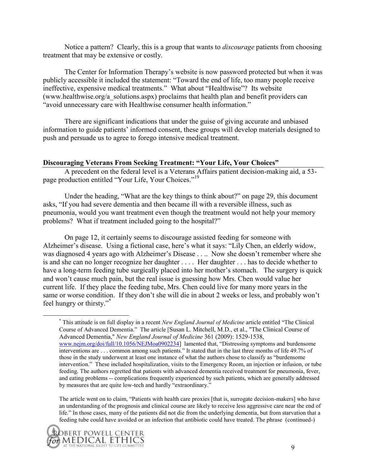Notice a pattern? Clearly, this is a group that wants to *discourage* patients from choosing treatment that may be extensive or costly.

The Center for Information Therapy's website is now password protected but when it was publicly accessible it included the statement: "Toward the end of life, too many people receive ineffective, expensive medical treatments." What about "Healthwise"? Its website (www.healthwise.org/a\_solutions.aspx) proclaims that health plan and benefit providers can "avoid unnecessary care with Healthwise consumer health information."

There are significant indications that under the guise of giving accurate and unbiased information to guide patients' informed consent, these groups will develop materials designed to push and persuade us to agree to forego intensive medical treatment.

#### **Discouraging Veterans From Seeking Treatment: "Your Life, Your Choices"**

A precedent on the federal level is a Veterans Affairs patient decision-making aid, a 53 page production entitled "Your Life, Your Choices."<sup>19</sup>

Under the heading, "What are the key things to think about?" on page 29, this document asks, "If you had severe dementia and then became ill with a reversible illness, such as pneumonia, would you want treatment even though the treatment would not help your memory problems? What if treatment included going to the hospital?"

On page 12, it certainly seems to discourage assisted feeding for someone with Alzheimer's disease. Using a fictional case, here's what it says: "Lily Chen, an elderly widow, was diagnosed 4 years ago with Alzheimer's Disease . . .. Now she doesn't remember where she is and she can no longer recognize her daughter . . . . Her daughter . . . has to decide whether to have a long-term feeding tube surgically placed into her mother's stomach. The surgery is quick and won't cause much pain, but the real issue is guessing how Mrs. Chen would value her current life. If they place the feeding tube, Mrs. Chen could live for many more years in the same or worse condition. If they don't she will die in about 2 weeks or less, and probably won't feel hungry or thirsty."\*

The article went on to claim, "Patients with health care proxies [that is, surrogate decision-makers] who have an understanding of the prognosis and clinical course are likely to receive less aggressive care near the end of life." In those cases, many of the patients did not die from the underlying dementia, but from starvation that a feeding tube could have avoided or an infection that antibiotic could have treated. The phrase (continued-)



<sup>&</sup>lt;sup>\*</sup> This attitude is on full display in a recent *New England Journal of Medicine* article entitled "The Clinical" Course of Advanced Dementia.‖ The article [Susan L. Mitchell, M.D., et al., "The Clinical Course of Advanced Dementia," *New England Journal of Medicine* 361 (2009): 1529-1538, [www.nejm.org/doi/full/10.1056/NEJMoa0902234\]](http://www.nejm.org/doi/full/10.1056/NEJMoa0902234) lamented that, "Distressing symptoms and burdensome interventions are . . . common among such patients." It stated that in the last three months of life 49.7% of those in the study underwent at least one instance of what the authors chose to classify as "burdensome intervention." These included hospitalization, visits to the Emergency Room, an injection or infusion, or tube feeding. The authors regretted that patients with advanced dementia received treatment for pneumonia, fever, and eating problems -- complications frequently experienced by such patients, which are generally addressed by measures that are quite low-tech and hardly "extraordinary."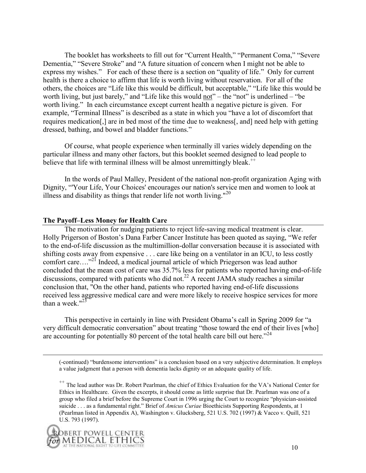The booklet has worksheets to fill out for "Current Health," "Permanent Coma," "Severe Dementia," "Severe Stroke" and "A future situation of concern when I might not be able to express my wishes." For each of these there is a section on "quality of life." Only for current health is there a choice to affirm that life is worth living without reservation. For all of the others, the choices are "Life like this would be difficult, but acceptable," "Life like this would be worth living, but just barely," and "Life like this would not" – the "not" is underlined – "be worth living." In each circumstance except current health a negative picture is given. For example, "Terminal Illness" is described as a state in which you "have a lot of discomfort that requires medication[,] are in bed most of the time due to weakness[, and] need help with getting dressed, bathing, and bowel and bladder functions."

Of course, what people experience when terminally ill varies widely depending on the particular illness and many other factors, but this booklet seemed designed to lead people to believe that life with terminal illness will be almost unremittingly bleak.<sup> $+$ +</sup>

In the words of Paul Malley, President of the national non-profit organization Aging with Dignity, "Your Life, Your Choices' encourages our nation's service men and women to look at illness and disability as things that render life not worth living."<sup>20</sup>

#### **The Payoff–Less Money for Health Care**

The motivation for nudging patients to reject life-saving medical treatment is clear. Holly Prigerson of Boston's Dana Farber Cancer Institute has been quoted as saying, "We refer to the end-of-life discussion as the multimillion-dollar conversation because it is associated with shifting costs away from expensive . . . care like being on a ventilator in an ICU, to less costly comfort care...."<sup>21</sup> Indeed, a medical journal article of which Priegerson was lead author concluded that the mean cost of care was 35.7% less for patients who reported having end-of-life discussions, compared with patients who did not.<sup>22</sup> A recent JAMA study reaches a similar conclusion that, "On the other hand, patients who reported having end-of-life discussions received less aggressive medical care and were more likely to receive hospice services for more than a week." $23$ 

This perspective in certainly in line with President Obama's call in Spring 2009 for "a very difficult democratic conversation" about treating "those toward the end of their lives [who] are accounting for potentially 80 percent of the total health care bill out here.<sup>224</sup>

(-continued) "burdensome interventions" is a conclusion based on a very subjective determination. It employs a value judgment that a person with dementia lacks dignity or an adequate quality of life.

<sup>&</sup>lt;sup>++</sup> The lead author was Dr. Robert Pearlman, the chief of Ethics Evaluation for the VA's National Center for Ethics in Healthcare. Given the excerpts, it should come as little surprise that Dr. Pearlman was one of a group who filed a brief before the Supreme Court in 1996 urging the Court to recognize "physician-assisted" suicide . . . as a fundamental right." Brief of *Amicus Curiae* Bioethicists Supporting Respondents, at 1 (Pearlman listed in Appendix A), Washington v. Glucksberg, 521 U.S. 702 (1997) & Vacco v. Quill, 521 U.S. 793 (1997).

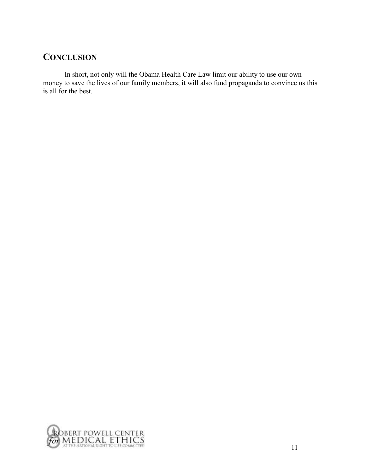### **CONCLUSION**

In short, not only will the Obama Health Care Law limit our ability to use our own money to save the lives of our family members, it will also fund propaganda to convince us this is all for the best.

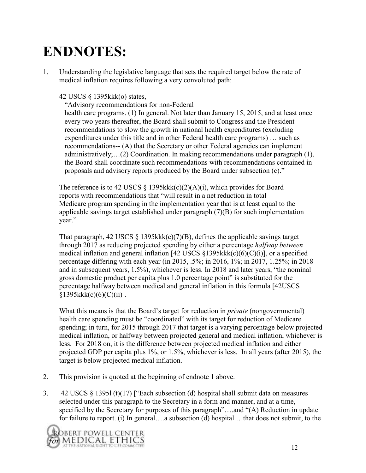# **ENDNOTES:**  $\overline{a}$

1. Understanding the legislative language that sets the required target below the rate of medical inflation requires following a very convoluted path:

#### 42 USCS § 1395kkk(o) states,

―Advisory recommendations for non-Federal health care programs. (1) In general. Not later than January 15, 2015, and at least once every two years thereafter, the Board shall submit to Congress and the President recommendations to slow the growth in national health expenditures (excluding expenditures under this title and in other Federal health care programs) … such as recommendations-- (A) that the Secretary or other Federal agencies can implement administratively;…(2) Coordination. In making recommendations under paragraph (1), the Board shall coordinate such recommendations with recommendations contained in proposals and advisory reports produced by the Board under subsection (c)."

The reference is to 42 USCS § 1395kkk(c)(2)(A)(i), which provides for Board reports with recommendations that "will result in a net reduction in total Medicare program spending in the implementation year that is at least equal to the applicable savings target established under paragraph (7)(B) for such implementation year."

That paragraph, 42 USCS  $\S$  1395kkk(c)(7)(B), defines the applicable savings target through 2017 as reducing projected spending by either a percentage *halfway between*  medical inflation and general inflation [42 USCS §1395kkk(c)(6)(C)(i)], or a specified percentage differing with each year (in 2015, .5%; in 2016, 1%; in 2017, 1.25%; in 2018 and in subsequent years,  $1.5\%$ ), whichever is less. In 2018 and later years, "the nominal gross domestic product per capita plus 1.0 percentage point" is substituted for the percentage halfway between medical and general inflation in this formula [42USCS  $§1395kkk(c)(6)(C)(ii)].$ 

What this means is that the Board's target for reduction in *private* (nongovernmental) health care spending must be "coordinated" with its target for reduction of Medicare spending; in turn, for 2015 through 2017 that target is a varying percentage below projected medical inflation, or halfway between projected general and medical inflation, whichever is less. For 2018 on, it is the difference between projected medical inflation and either projected GDP per capita plus 1%, or 1.5%, whichever is less. In all years (after 2015), the target is below projected medical inflation.

- 2. This provision is quoted at the beginning of endnote 1 above.
- 3. 42 USCS § 13951 (t)(17) ["Each subsection (d) hospital shall submit data on measures selected under this paragraph to the Secretary in a form and manner, and at a time, specified by the Secretary for purposes of this paragraph"....and "(A) Reduction in update for failure to report. (i) In general….a subsection (d) hospital …that does not submit, to the

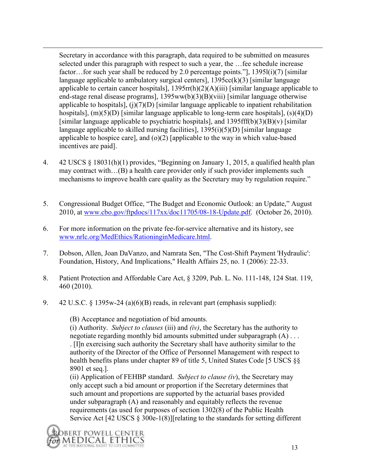Secretary in accordance with this paragraph, data required to be submitted on measures selected under this paragraph with respect to such a year, the …fee schedule increase factor...for such year shall be reduced by 2.0 percentage points."],  $1395l(i)(7)$  [similar language applicable to ambulatory surgical centers],  $1395cc(k)(3)$  [similar language applicable to certain cancer hospitals], 1395rr(h)(2)(A)(iii) [similar language applicable to end-stage renal disease programs], 1395ww(b)(3)(B)(viii) [similar language otherwise applicable to hospitals],  $(j)(7)(D)$  [similar language applicable to inpatient rehabilitation hospitals],  $(m)(5)(D)$  [similar language applicable to long-term care hospitals],  $(s)(4)(D)$ [similar language applicable to psychiatric hospitals], and 1395fff(b)(3)(B)(v) [similar language applicable to skilled nursing facilities], 1395(i)(5)(D) [similar language applicable to hospice care], and  $(o)(2)$  [applicable to the way in which value-based incentives are paid].

- 4. 42 USCS  $\S$  18031(h)(1) provides, "Beginning on January 1, 2015, a qualified health plan may contract with…(B) a health care provider only if such provider implements such mechanisms to improve health care quality as the Secretary may by regulation require."
- 5. Congressional Budget Office, "The Budget and Economic Outlook: an Update," August 2010, at www.cbo.gov/ftpdocs/117xx/doc11705/08-18-Update.pdf. (October 26, 2010).
- 6. For more information on the private fee-for-service alternative and its history, see [www.nrlc.org/MedEthics/RationinginMedicare.html.](http://www.nrlc.org/MedEthics/RationinginMedicare.html)
- 7. Dobson, Allen, Joan DaVanzo, and Namrata Sen, "The Cost-Shift Payment 'Hydraulic': Foundation, History, And Implications," Health Affairs 25, no. 1 (2006): 22-33.
- 8. Patient Protection and Affordable Care Act, § 3209, Pub. L. No. 111-148, 124 Stat. 119, 460 (2010).
- 9. 42 U.S.C. § 1395w-24 (a)(6)(B) reads, in relevant part (emphasis supplied):

(B) Acceptance and negotiation of bid amounts.

(i) Authority. *Subject to clauses* (iii) and *(iv)*, the Secretary has the authority to negotiate regarding monthly bid amounts submitted under subparagraph (A) . . . . [I]n exercising such authority the Secretary shall have authority similar to the authority of the Director of the Office of Personnel Management with respect to health benefits plans under chapter 89 of title 5, United States Code [5 USCS §§ 8901 et seq.].

(ii) Application of FEHBP standard. *Subject to clause (iv*), the Secretary may only accept such a bid amount or proportion if the Secretary determines that such amount and proportions are supported by the actuarial bases provided under subparagraph (A) and reasonably and equitably reflects the revenue requirements (as used for purposes of section 1302(8) of the Public Health Service Act [42 USCS § 300e-1(8)][relating to the standards for setting different

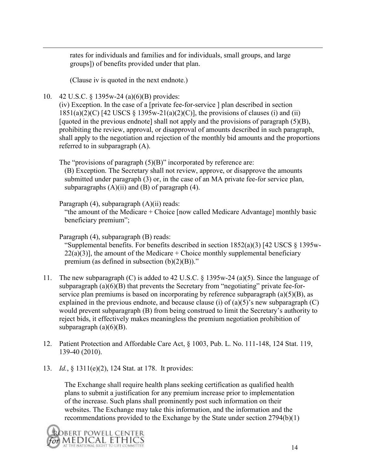rates for individuals and families and for individuals, small groups, and large groups]) of benefits provided under that plan.

(Clause iv is quoted in the next endnote.)

10. 42 U.S.C. § 1395w-24 (a)(6)(B) provides:

 $\overline{a}$ 

(iv) Exception. In the case of a [private fee-for-service ] plan described in section 1851(a)(2)(C) [42 USCS  $\S$  1395w-21(a)(2)(C)], the provisions of clauses (i) and (ii) [quoted in the previous endnote] shall not apply and the provisions of paragraph (5)(B), prohibiting the review, approval, or disapproval of amounts described in such paragraph, shall apply to the negotiation and rejection of the monthly bid amounts and the proportions referred to in subparagraph (A).

The "provisions of paragraph  $(5)(B)$ " incorporated by reference are: (B) Exception. The Secretary shall not review, approve, or disapprove the amounts submitted under paragraph (3) or, in the case of an MA private fee-for service plan, subparagraphs  $(A)(ii)$  and  $(B)$  of paragraph  $(4)$ .

Paragraph (4), subparagraph (A)(ii) reads:

"the amount of the Medicare  $+$  Choice [now called Medicare Advantage] monthly basic beneficiary premium";

Paragraph (4), subparagraph (B) reads: "Supplemental benefits. For benefits described in section  $1852(a)(3)$  [42 USCS  $\S$  1395w- $22(a)(3)$ ], the amount of the Medicare + Choice monthly supplemental beneficiary premium (as defined in subsection  $(b)(2)(B)$ )."

- 11. The new subparagraph (C) is added to 42 U.S.C. § 1395w-24 (a)(5). Since the language of subparagraph  $(a)(6)(B)$  that prevents the Secretary from "negotiating" private fee-forservice plan premiums is based on incorporating by reference subparagraph (a)(5)(B), as explained in the previous endnote, and because clause (i) of  $(a)(5)$ 's new subparagraph (C) would prevent subparagraph (B) from being construed to limit the Secretary's authority to reject bids, it effectively makes meaningless the premium negotiation prohibition of subparagraph  $(a)(6)(B)$ .
- 12. Patient Protection and Affordable Care Act, § 1003, Pub. L. No. 111-148, 124 Stat. 119, 139-40 (2010).
- 13. *Id.*, § 1311(e)(2), 124 Stat. at 178. It provides:

The Exchange shall require health plans seeking certification as qualified health plans to submit a justification for any premium increase prior to implementation of the increase. Such plans shall prominently post such information on their websites. The Exchange may take this information, and the information and the recommendations provided to the Exchange by the State under section 2794(b)(1)